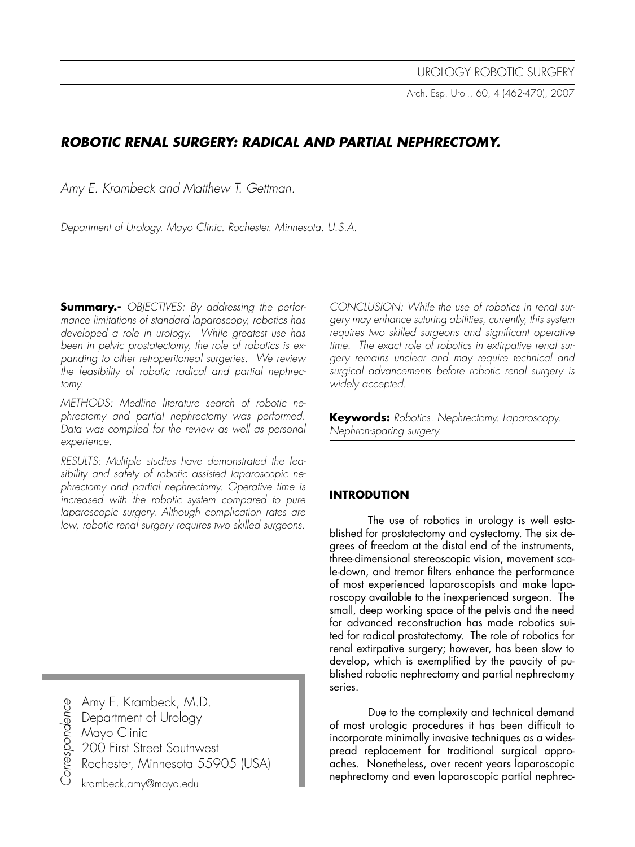Arch. Esp. Urol., 60, 4 (462-470), 2007

# **ROBOTIC RENAL SURGERY: RADICAL AND PARTIAL NEPHRECTOMY.**

Amy E. Krambeck and Matthew T. Gettman.

Department of Urology. Mayo Clinic. Rochester. Minnesota. U.S.A.

**Summary.-** OBJECTIVES: By addressing the performance limitations of standard laparoscopy, robotics has developed a role in urology. While greatest use has been in pelvic prostatectomy, the role of robotics is expanding to other retroperitoneal surgeries. We review the feasibility of robotic radical and partial nephrectomy.

METHODS: Medline literature search of robotic nephrectomy and partial nephrectomy was performed. Data was compiled for the review as well as personal experience.

RESULTS: Multiple studies have demonstrated the feasibility and safety of robotic assisted laparoscopic nephrectomy and partial nephrectomy. Operative time is increased with the robotic system compared to pure laparoscopic surgery. Although complication rates are low, robotic renal surgery requires two skilled surgeons.

Correspondenc به Amy E. Krambeck, M.D. Department of Urology Mayo Clinic 200 First Street Southwest Rochester, Minnesota 55905 (USA)

krambeck.amy@mayo.edu

CONCLUSION: While the use of robotics in renal surgery may enhance suturing abilities, currently, this system requires two skilled surgeons and significant operative time. The exact role of robotics in extirpative renal surgery remains unclear and may require technical and surgical advancements before robotic renal surgery is widely accepted.

**Keywords:** Robotics. Nephrectomy. Laparoscopy. Nephron-sparing surgery.

## **INTRODUTION**

The use of robotics in urology is well established for prostatectomy and cystectomy. The six degrees of freedom at the distal end of the instruments, three-dimensional stereoscopic vision, movement scale-down, and tremor filters enhance the performance of most experienced laparoscopists and make laparoscopy available to the inexperienced surgeon. The small, deep working space of the pelvis and the need for advanced reconstruction has made robotics suited for radical prostatectomy. The role of robotics for renal extirpative surgery; however, has been slow to develop, which is exemplified by the paucity of published robotic nephrectomy and partial nephrectomy series.

 Due to the complexity and technical demand of most urologic procedures it has been difficult to incorporate minimally invasive techniques as a widespread replacement for traditional surgical approaches. Nonetheless, over recent years laparoscopic nephrectomy and even laparoscopic partial nephrec-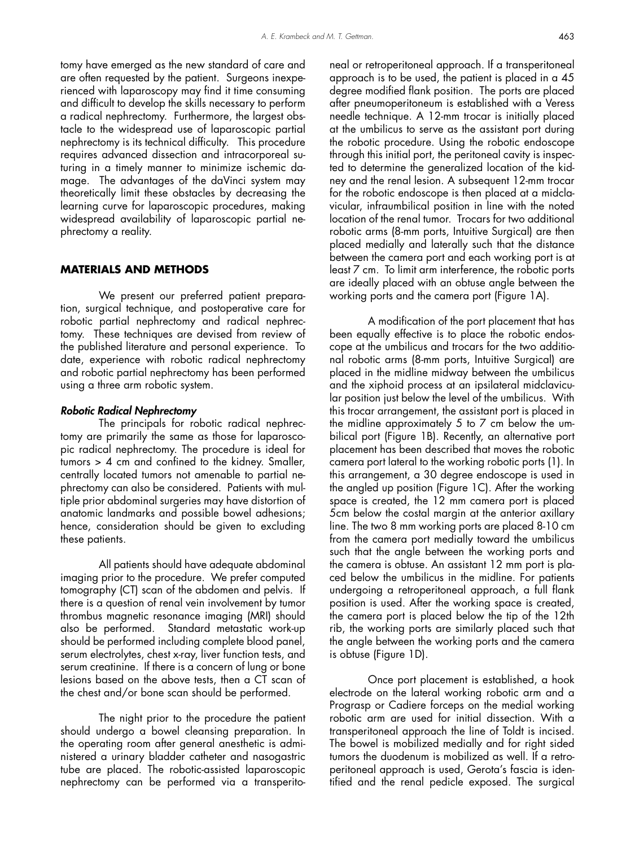tomy have emerged as the new standard of care and are often requested by the patient. Surgeons inexperienced with laparoscopy may find it time consuming and difficult to develop the skills necessary to perform a radical nephrectomy. Furthermore, the largest obstacle to the widespread use of laparoscopic partial nephrectomy is its technical difficulty. This procedure requires advanced dissection and intracorporeal suturing in a timely manner to minimize ischemic damage. The advantages of the daVinci system may theoretically limit these obstacles by decreasing the learning curve for laparoscopic procedures, making widespread availability of laparoscopic partial nephrectomy a reality.

#### **MATERIALS AND METHODS**

 We present our preferred patient preparation, surgical technique, and postoperative care for robotic partial nephrectomy and radical nephrectomy. These techniques are devised from review of the published literature and personal experience. To date, experience with robotic radical nephrectomy and robotic partial nephrectomy has been performed using a three arm robotic system.

#### Robotic Radical Nephrectomy

 The principals for robotic radical nephrectomy are primarily the same as those for laparoscopic radical nephrectomy. The procedure is ideal for tumors > 4 cm and confined to the kidney. Smaller, centrally located tumors not amenable to partial nephrectomy can also be considered. Patients with multiple prior abdominal surgeries may have distortion of anatomic landmarks and possible bowel adhesions; hence, consideration should be given to excluding these patients.

 All patients should have adequate abdominal imaging prior to the procedure. We prefer computed tomography (CT) scan of the abdomen and pelvis. If there is a question of renal vein involvement by tumor thrombus magnetic resonance imaging (MRI) should also be performed. Standard metastatic work-up should be performed including complete blood panel, serum electrolytes, chest x-ray, liver function tests, and serum creatinine. If there is a concern of lung or bone lesions based on the above tests, then a CT scan of the chest and/or bone scan should be performed.

 The night prior to the procedure the patient should undergo a bowel cleansing preparation. In the operating room after general anesthetic is administered a urinary bladder catheter and nasogastric tube are placed. The robotic-assisted laparoscopic nephrectomy can be performed via a transperito-

neal or retroperitoneal approach. If a transperitoneal approach is to be used, the patient is placed in a 45 degree modified flank position. The ports are placed after pneumoperitoneum is established with a Veress needle technique. A 12-mm trocar is initially placed at the umbilicus to serve as the assistant port during the robotic procedure. Using the robotic endoscope through this initial port, the peritoneal cavity is inspected to determine the generalized location of the kidney and the renal lesion. A subsequent 12-mm trocar for the robotic endoscope is then placed at a midclavicular, infraumbilical position in line with the noted location of the renal tumor. Trocars for two additional robotic arms (8-mm ports, Intuitive Surgical) are then placed medially and laterally such that the distance between the camera port and each working port is at least 7 cm. To limit arm interference, the robotic ports are ideally placed with an obtuse angle between the working ports and the camera port (Figure 1A).

 A modification of the port placement that has been equally effective is to place the robotic endoscope at the umbilicus and trocars for the two additional robotic arms (8-mm ports, Intuitive Surgical) are placed in the midline midway between the umbilicus and the xiphoid process at an ipsilateral midclavicular position just below the level of the umbilicus. With this trocar arrangement, the assistant port is placed in the midline approximately 5 to 7 cm below the umbilical port (Figure 1B). Recently, an alternative port placement has been described that moves the robotic camera port lateral to the working robotic ports (1). In this arrangement, a 30 degree endoscope is used in the angled up position (Figure 1C). After the working space is created, the 12 mm camera port is placed 5cm below the costal margin at the anterior axillary line. The two 8 mm working ports are placed 8-10 cm from the camera port medially toward the umbilicus such that the angle between the working ports and the camera is obtuse. An assistant 12 mm port is placed below the umbilicus in the midline. For patients undergoing a retroperitoneal approach, a full flank position is used. After the working space is created, the camera port is placed below the tip of the 12th rib, the working ports are similarly placed such that the angle between the working ports and the camera is obtuse (Figure 1D).

 Once port placement is established, a hook electrode on the lateral working robotic arm and a Prograsp or Cadiere forceps on the medial working robotic arm are used for initial dissection. With a transperitoneal approach the line of Toldt is incised. The bowel is mobilized medially and for right sided tumors the duodenum is mobilized as well. If a retroperitoneal approach is used, Gerota's fascia is identified and the renal pedicle exposed. The surgical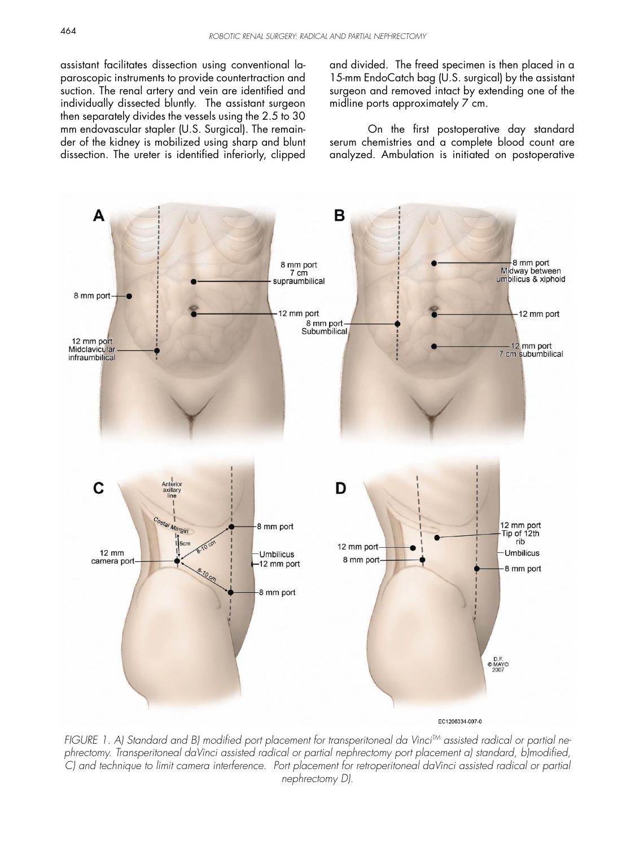assistant facilitates dissection using conventional laparoscopic instruments to provide countertraction and suction. The renal artery and vein are identified and individually dissected bluntly. The assistant surgeon then separately divides the vessels using the 2.5 to 30 mm endovascular stapler (U.S. Surgical). The remainder of the kidney is mobilized using sharp and blunt dissection. The ureter is identified inferiorly, clipped and divided. The freed specimen is then placed in a 15-mm EndoCatch bag (U.S. surgical) by the assistant surgeon and removed intact by extending one of the midline ports approximately 7 cm.

 On the first postoperative day standard serum chemistries and a complete blood count are analyzed. Ambulation is initiated on postoperative



FIGURE 1. A) Standard and B) modified port placement for transperitoneal da Vinci<sup>TM</sup> assisted radical or partial nephrectomy. Transperitoneal daVinci assisted radical or partial nephrectomy port placement a) standard, b)modified, C) and technique to limit camera interference. Port placement for retroperitoneal daVinci assisted radical or partial nephrectomy D).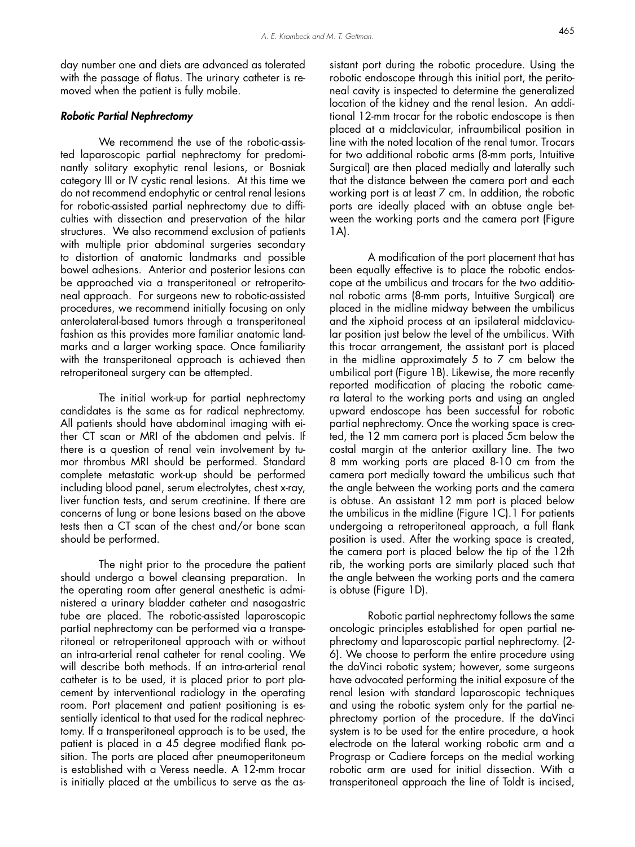day number one and diets are advanced as tolerated with the passage of flatus. The urinary catheter is removed when the patient is fully mobile.

#### Robotic Partial Nephrectomy

We recommend the use of the robotic-assisted laparoscopic partial nephrectomy for predominantly solitary exophytic renal lesions, or Bosniak category III or IV cystic renal lesions. At this time we do not recommend endophytic or central renal lesions for robotic-assisted partial nephrectomy due to difficulties with dissection and preservation of the hilar structures. We also recommend exclusion of patients with multiple prior abdominal surgeries secondary to distortion of anatomic landmarks and possible bowel adhesions. Anterior and posterior lesions can be approached via a transperitoneal or retroperitoneal approach. For surgeons new to robotic-assisted procedures, we recommend initially focusing on only anterolateral-based tumors through a transperitoneal fashion as this provides more familiar anatomic landmarks and a larger working space. Once familiarity with the transperitoneal approach is achieved then retroperitoneal surgery can be attempted.

 The initial work-up for partial nephrectomy candidates is the same as for radical nephrectomy. All patients should have abdominal imaging with either CT scan or MRI of the abdomen and pelvis. If there is a question of renal vein involvement by tumor thrombus MRI should be performed. Standard complete metastatic work-up should be performed including blood panel, serum electrolytes, chest x-ray, liver function tests, and serum creatinine. If there are concerns of lung or bone lesions based on the above tests then a CT scan of the chest and/or bone scan should be performed.

 The night prior to the procedure the patient should undergo a bowel cleansing preparation. In the operating room after general anesthetic is administered a urinary bladder catheter and nasogastric tube are placed. The robotic-assisted laparoscopic partial nephrectomy can be performed via a transperitoneal or retroperitoneal approach with or without an intra-arterial renal catheter for renal cooling. We will describe both methods. If an intra-arterial renal catheter is to be used, it is placed prior to port placement by interventional radiology in the operating room. Port placement and patient positioning is essentially identical to that used for the radical nephrectomy. If a transperitoneal approach is to be used, the patient is placed in a 45 degree modified flank position. The ports are placed after pneumoperitoneum is established with a Veress needle. A 12-mm trocar is initially placed at the umbilicus to serve as the assistant port during the robotic procedure. Using the robotic endoscope through this initial port, the peritoneal cavity is inspected to determine the generalized location of the kidney and the renal lesion. An additional 12-mm trocar for the robotic endoscope is then placed at a midclavicular, infraumbilical position in line with the noted location of the renal tumor. Trocars for two additional robotic arms (8-mm ports, Intuitive Surgical) are then placed medially and laterally such that the distance between the camera port and each working port is at least 7 cm. In addition, the robotic ports are ideally placed with an obtuse angle between the working ports and the camera port (Figure 1A).

 A modification of the port placement that has been equally effective is to place the robotic endoscope at the umbilicus and trocars for the two additional robotic arms (8-mm ports, Intuitive Surgical) are placed in the midline midway between the umbilicus and the xiphoid process at an ipsilateral midclavicular position just below the level of the umbilicus. With this trocar arrangement, the assistant port is placed in the midline approximately 5 to 7 cm below the umbilical port (Figure 1B). Likewise, the more recently reported modification of placing the robotic camera lateral to the working ports and using an angled upward endoscope has been successful for robotic partial nephrectomy. Once the working space is created, the 12 mm camera port is placed 5cm below the costal margin at the anterior axillary line. The two 8 mm working ports are placed 8-10 cm from the camera port medially toward the umbilicus such that the angle between the working ports and the camera is obtuse. An assistant 12 mm port is placed below the umbilicus in the midline (Figure 1C).1 For patients undergoing a retroperitoneal approach, a full flank position is used. After the working space is created, the camera port is placed below the tip of the 12th rib, the working ports are similarly placed such that the angle between the working ports and the camera is obtuse (Figure 1D).

 Robotic partial nephrectomy follows the same oncologic principles established for open partial nephrectomy and laparoscopic partial nephrectomy. (2- 6). We choose to perform the entire procedure using the daVinci robotic system; however, some surgeons have advocated performing the initial exposure of the renal lesion with standard laparoscopic techniques and using the robotic system only for the partial nephrectomy portion of the procedure. If the daVinci system is to be used for the entire procedure, a hook electrode on the lateral working robotic arm and a Prograsp or Cadiere forceps on the medial working robotic arm are used for initial dissection. With a transperitoneal approach the line of Toldt is incised,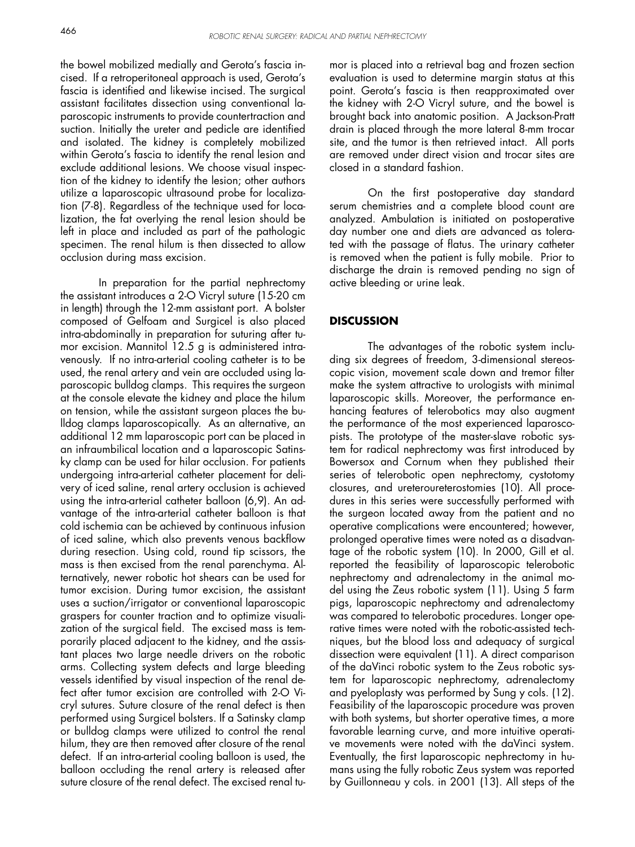the bowel mobilized medially and Gerota's fascia incised. If a retroperitoneal approach is used, Gerota's fascia is identified and likewise incised. The surgical assistant facilitates dissection using conventional laparoscopic instruments to provide countertraction and suction. Initially the ureter and pedicle are identified and isolated. The kidney is completely mobilized within Gerota's fascia to identify the renal lesion and exclude additional lesions. We choose visual inspection of the kidney to identify the lesion; other authors utilize a laparoscopic ultrasound probe for localization (7-8). Regardless of the technique used for localization, the fat overlying the renal lesion should be left in place and included as part of the pathologic specimen. The renal hilum is then dissected to allow occlusion during mass excision.

 In preparation for the partial nephrectomy the assistant introduces a 2-O Vicryl suture (15-20 cm in length) through the 12-mm assistant port. A bolster composed of Gelfoam and Surgicel is also placed intra-abdominally in preparation for suturing after tumor excision. Mannitol 12.5 g is administered intravenously. If no intra-arterial cooling catheter is to be used, the renal artery and vein are occluded using laparoscopic bulldog clamps. This requires the surgeon at the console elevate the kidney and place the hilum on tension, while the assistant surgeon places the bulldog clamps laparoscopically. As an alternative, an additional 12 mm laparoscopic port can be placed in an infraumbilical location and a laparoscopic Satinsky clamp can be used for hilar occlusion. For patients undergoing intra-arterial catheter placement for delivery of iced saline, renal artery occlusion is achieved using the intra-arterial catheter balloon (6,9). An advantage of the intra-arterial catheter balloon is that cold ischemia can be achieved by continuous infusion of iced saline, which also prevents venous backflow during resection. Using cold, round tip scissors, the mass is then excised from the renal parenchyma. Alternatively, newer robotic hot shears can be used for tumor excision. During tumor excision, the assistant uses a suction/irrigator or conventional laparoscopic graspers for counter traction and to optimize visualization of the surgical field. The excised mass is temporarily placed adjacent to the kidney, and the assistant places two large needle drivers on the robotic arms. Collecting system defects and large bleeding vessels identified by visual inspection of the renal defect after tumor excision are controlled with 2-O Vicryl sutures. Suture closure of the renal defect is then performed using Surgicel bolsters. If a Satinsky clamp or bulldog clamps were utilized to control the renal hilum, they are then removed after closure of the renal defect. If an intra-arterial cooling balloon is used, the balloon occluding the renal artery is released after suture closure of the renal defect. The excised renal tu-

mor is placed into a retrieval bag and frozen section evaluation is used to determine margin status at this point. Gerota's fascia is then reapproximated over the kidney with 2-O Vicryl suture, and the bowel is brought back into anatomic position. A Jackson-Pratt drain is placed through the more lateral 8-mm trocar site, and the tumor is then retrieved intact. All ports are removed under direct vision and trocar sites are closed in a standard fashion.

 On the first postoperative day standard serum chemistries and a complete blood count are analyzed. Ambulation is initiated on postoperative day number one and diets are advanced as tolerated with the passage of flatus. The urinary catheter is removed when the patient is fully mobile. Prior to discharge the drain is removed pending no sign of active bleeding or urine leak.

### **DISCUSSION**

 The advantages of the robotic system including six degrees of freedom, 3-dimensional stereoscopic vision, movement scale down and tremor filter make the system attractive to urologists with minimal laparoscopic skills. Moreover, the performance enhancing features of telerobotics may also augment the performance of the most experienced laparoscopists. The prototype of the master-slave robotic system for radical nephrectomy was first introduced by Bowersox and Cornum when they published their series of telerobotic open nephrectomy, cystotomy closures, and ureteroureterostomies (10). All procedures in this series were successfully performed with the surgeon located away from the patient and no operative complications were encountered; however, prolonged operative times were noted as a disadvantage of the robotic system (10). In 2000, Gill et al. reported the feasibility of laparoscopic telerobotic nephrectomy and adrenalectomy in the animal model using the Zeus robotic system (11). Using 5 farm pigs, laparoscopic nephrectomy and adrenalectomy was compared to telerobotic procedures. Longer operative times were noted with the robotic-assisted techniques, but the blood loss and adequacy of surgical dissection were equivalent (11). A direct comparison of the daVinci robotic system to the Zeus robotic system for laparoscopic nephrectomy, adrenalectomy and pyeloplasty was performed by Sung y cols. (12). Feasibility of the laparoscopic procedure was proven with both systems, but shorter operative times, a more favorable learning curve, and more intuitive operative movements were noted with the daVinci system. Eventually, the first laparoscopic nephrectomy in humans using the fully robotic Zeus system was reported by Guillonneau y cols. in 2001 (13). All steps of the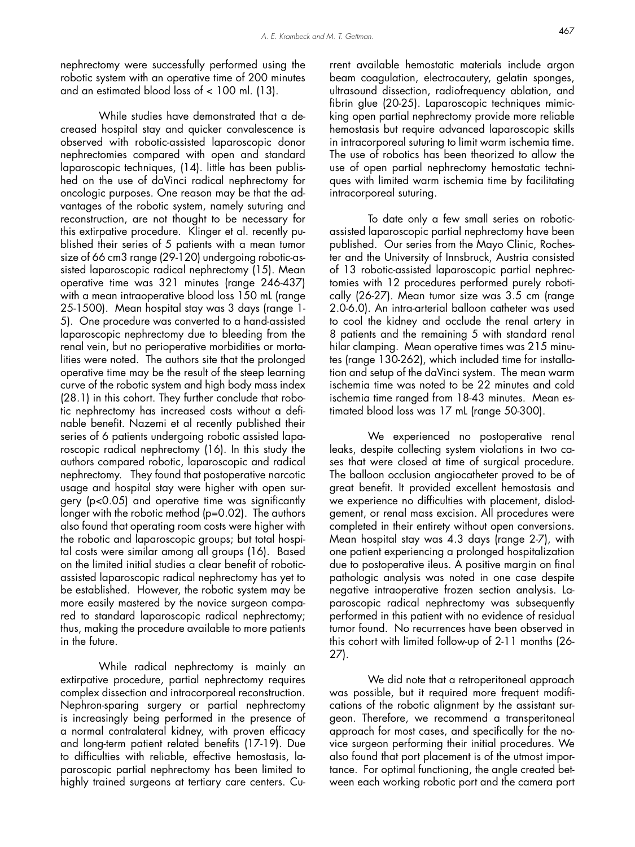nephrectomy were successfully performed using the robotic system with an operative time of 200 minutes and an estimated blood loss of < 100 ml. (13).

 While studies have demonstrated that a decreased hospital stay and quicker convalescence is observed with robotic-assisted laparoscopic donor nephrectomies compared with open and standard laparoscopic techniques, (14). little has been published on the use of daVinci radical nephrectomy for oncologic purposes. One reason may be that the advantages of the robotic system, namely suturing and reconstruction, are not thought to be necessary for this extirpative procedure. Klinger et al. recently published their series of 5 patients with a mean tumor size of 66 cm3 range (29-120) undergoing robotic-assisted laparoscopic radical nephrectomy (15). Mean operative time was 321 minutes (range 246-437) with a mean intraoperative blood loss 150 mL (range 25-1500). Mean hospital stay was 3 days (range 1- 5). One procedure was converted to a hand-assisted laparoscopic nephrectomy due to bleeding from the renal vein, but no perioperative morbidities or mortalities were noted. The authors site that the prolonged operative time may be the result of the steep learning curve of the robotic system and high body mass index (28.1) in this cohort. They further conclude that robotic nephrectomy has increased costs without a definable benefit. Nazemi et al recently published their series of 6 patients undergoing robotic assisted laparoscopic radical nephrectomy (16). In this study the authors compared robotic, laparoscopic and radical nephrectomy. They found that postoperative narcotic usage and hospital stay were higher with open surgery (p<0.05) and operative time was significantly longer with the robotic method (p=0.02). The authors also found that operating room costs were higher with the robotic and laparoscopic groups; but total hospital costs were similar among all groups (16). Based on the limited initial studies a clear benefit of roboticassisted laparoscopic radical nephrectomy has yet to be established. However, the robotic system may be more easily mastered by the novice surgeon compared to standard laparoscopic radical nephrectomy; thus, making the procedure available to more patients in the future.

 While radical nephrectomy is mainly an extirpative procedure, partial nephrectomy requires complex dissection and intracorporeal reconstruction. Nephron-sparing surgery or partial nephrectomy is increasingly being performed in the presence of a normal contralateral kidney, with proven efficacy and long-term patient related benefits (17-19). Due to difficulties with reliable, effective hemostasis, laparoscopic partial nephrectomy has been limited to highly trained surgeons at tertiary care centers. Current available hemostatic materials include argon beam coagulation, electrocautery, gelatin sponges, ultrasound dissection, radiofrequency ablation, and fibrin glue (20-25). Laparoscopic techniques mimicking open partial nephrectomy provide more reliable hemostasis but require advanced laparoscopic skills in intracorporeal suturing to limit warm ischemia time. The use of robotics has been theorized to allow the use of open partial nephrectomy hemostatic techniques with limited warm ischemia time by facilitating intracorporeal suturing.

 To date only a few small series on roboticassisted laparoscopic partial nephrectomy have been published. Our series from the Mayo Clinic, Rochester and the University of Innsbruck, Austria consisted of 13 robotic-assisted laparoscopic partial nephrectomies with 12 procedures performed purely robotically (26-27). Mean tumor size was 3.5 cm (range 2.0-6.0). An intra-arterial balloon catheter was used to cool the kidney and occlude the renal artery in 8 patients and the remaining 5 with standard renal hilar clamping. Mean operative times was 215 minutes (range 130-262), which included time for installation and setup of the daVinci system. The mean warm ischemia time was noted to be 22 minutes and cold ischemia time ranged from 18-43 minutes. Mean estimated blood loss was 17 mL (range 50-300).

We experienced no postoperative renal leaks, despite collecting system violations in two cases that were closed at time of surgical procedure. The balloon occlusion angiocatheter proved to be of great benefit. It provided excellent hemostasis and we experience no difficulties with placement, dislodgement, or renal mass excision. All procedures were completed in their entirety without open conversions. Mean hospital stay was 4.3 days (range 2-7), with one patient experiencing a prolonged hospitalization due to postoperative ileus. A positive margin on final pathologic analysis was noted in one case despite negative intraoperative frozen section analysis. Laparoscopic radical nephrectomy was subsequently performed in this patient with no evidence of residual tumor found. No recurrences have been observed in this cohort with limited follow-up of 2-11 months (26- 27).

 We did note that a retroperitoneal approach was possible, but it required more frequent modifications of the robotic alignment by the assistant surgeon. Therefore, we recommend a transperitoneal approach for most cases, and specifically for the novice surgeon performing their initial procedures. We also found that port placement is of the utmost importance. For optimal functioning, the angle created between each working robotic port and the camera port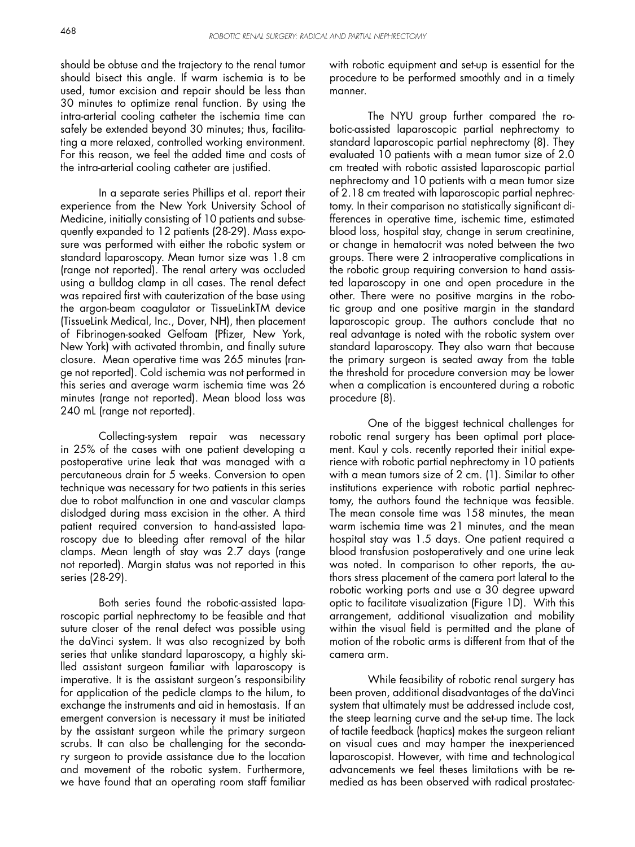should be obtuse and the trajectory to the renal tumor should bisect this angle. If warm ischemia is to be used, tumor excision and repair should be less than 30 minutes to optimize renal function. By using the intra-arterial cooling catheter the ischemia time can safely be extended beyond 30 minutes; thus, facilitating a more relaxed, controlled working environment. For this reason, we feel the added time and costs of the intra-arterial cooling catheter are justified.

 In a separate series Phillips et al. report their experience from the New York University School of Medicine, initially consisting of 10 patients and subsequently expanded to 12 patients (28-29). Mass exposure was performed with either the robotic system or standard laparoscopy. Mean tumor size was 1.8 cm (range not reported). The renal artery was occluded using a bulldog clamp in all cases. The renal defect was repaired first with cauterization of the base using the argon-beam coagulator or TissueLinkTM device (TissueLink Medical, Inc., Dover, NH), then placement of Fibrinogen-soaked Gelfoam (Pfizer, New York, New York) with activated thrombin, and finally suture closure. Mean operative time was 265 minutes (range not reported). Cold ischemia was not performed in this series and average warm ischemia time was 26 minutes (range not reported). Mean blood loss was 240 mL (range not reported).

 Collecting-system repair was necessary in 25% of the cases with one patient developing a postoperative urine leak that was managed with a percutaneous drain for 5 weeks. Conversion to open technique was necessary for two patients in this series due to robot malfunction in one and vascular clamps dislodged during mass excision in the other. A third patient required conversion to hand-assisted laparoscopy due to bleeding after removal of the hilar clamps. Mean length of stay was 2.7 days (range not reported). Margin status was not reported in this series (28-29).

 Both series found the robotic-assisted laparoscopic partial nephrectomy to be feasible and that suture closer of the renal defect was possible using the daVinci system. It was also recognized by both series that unlike standard laparoscopy, a highly skilled assistant surgeon familiar with laparoscopy is imperative. It is the assistant surgeon's responsibility for application of the pedicle clamps to the hilum, to exchange the instruments and aid in hemostasis. If an emergent conversion is necessary it must be initiated by the assistant surgeon while the primary surgeon scrubs. It can also be challenging for the secondary surgeon to provide assistance due to the location and movement of the robotic system. Furthermore, we have found that an operating room staff familiar

with robotic equipment and set-up is essential for the procedure to be performed smoothly and in a timely manner.

 The NYU group further compared the robotic-assisted laparoscopic partial nephrectomy to standard laparoscopic partial nephrectomy (8). They evaluated 10 patients with a mean tumor size of 2.0 cm treated with robotic assisted laparoscopic partial nephrectomy and 10 patients with a mean tumor size of 2.18 cm treated with laparoscopic partial nephrectomy. In their comparison no statistically significant differences in operative time, ischemic time, estimated blood loss, hospital stay, change in serum creatinine, or change in hematocrit was noted between the two groups. There were 2 intraoperative complications in the robotic group requiring conversion to hand assisted laparoscopy in one and open procedure in the other. There were no positive margins in the robotic group and one positive margin in the standard laparoscopic group. The authors conclude that no real advantage is noted with the robotic system over standard laparoscopy. They also warn that because the primary surgeon is seated away from the table the threshold for procedure conversion may be lower when a complication is encountered during a robotic procedure (8).

 One of the biggest technical challenges for robotic renal surgery has been optimal port placement. Kaul y cols. recently reported their initial experience with robotic partial nephrectomy in 10 patients with a mean tumors size of 2 cm. (1). Similar to other institutions experience with robotic partial nephrectomy, the authors found the technique was feasible. The mean console time was 158 minutes, the mean warm ischemia time was 21 minutes, and the mean hospital stay was 1.5 days. One patient required a blood transfusion postoperatively and one urine leak was noted. In comparison to other reports, the authors stress placement of the camera port lateral to the robotic working ports and use a 30 degree upward optic to facilitate visualization (Figure 1D). With this arrangement, additional visualization and mobility within the visual field is permitted and the plane of motion of the robotic arms is different from that of the camera arm.

 While feasibility of robotic renal surgery has been proven, additional disadvantages of the daVinci system that ultimately must be addressed include cost, the steep learning curve and the set-up time. The lack of tactile feedback (haptics) makes the surgeon reliant on visual cues and may hamper the inexperienced laparoscopist. However, with time and technological advancements we feel theses limitations with be remedied as has been observed with radical prostatec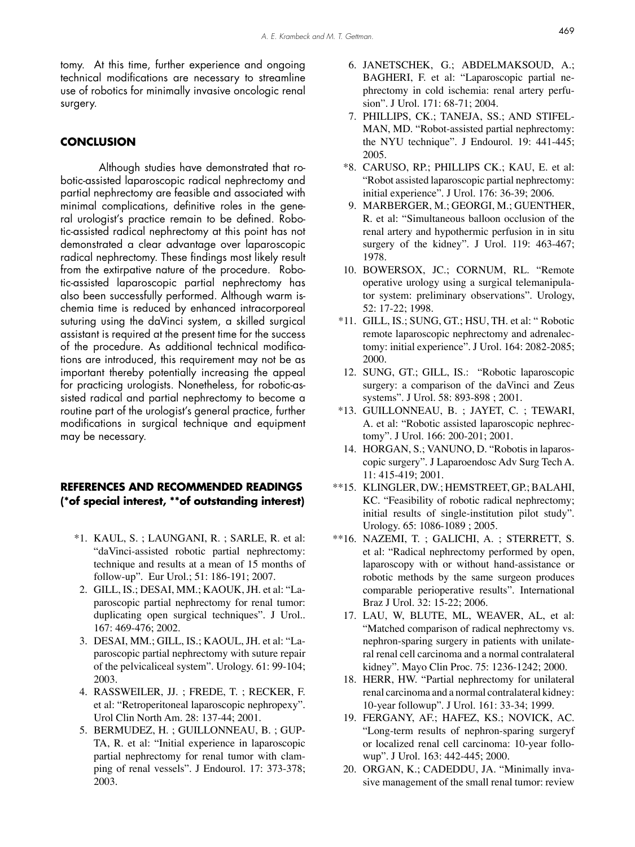tomy. At this time, further experience and ongoing technical modifications are necessary to streamline use of robotics for minimally invasive oncologic renal surgery.

#### **CONCLUSION**

 Although studies have demonstrated that robotic-assisted laparoscopic radical nephrectomy and partial nephrectomy are feasible and associated with minimal complications, definitive roles in the general urologist's practice remain to be defined. Robotic-assisted radical nephrectomy at this point has not demonstrated a clear advantage over laparoscopic radical nephrectomy. These findings most likely result from the extirpative nature of the procedure. Robotic-assisted laparoscopic partial nephrectomy has also been successfully performed. Although warm ischemia time is reduced by enhanced intracorporeal suturing using the daVinci system, a skilled surgical assistant is required at the present time for the success of the procedure. As additional technical modifications are introduced, this requirement may not be as important thereby potentially increasing the appeal for practicing urologists. Nonetheless, for robotic-assisted radical and partial nephrectomy to become a routine part of the urologist's general practice, further modifications in surgical technique and equipment may be necessary.

### **REFERENCES AND RECOMMENDED READINGS (\*of special interest, \*\*of outstanding interest)**

- KAUL, S. ; LAUNGANI, R. ; SARLE, R. et al: \*1. "daVinci-assisted robotic partial nephrectomy: technique and results at a mean of 15 months of follow-up". Eur Urol.; 51: 186-191; 2007.
- GILL, IS.; DESAI, MM.; KAOUK, JH. et al: "La-2. paroscopic partial nephrectomy for renal tumor: duplicating open surgical techniques". J Urol.. 167: 469-476; 2002.
- DESAI, MM.; GILL, IS.; KAOUL, JH. et al: "La-3. paroscopic partial nephrectomy with suture repair of the pelvicaliceal system". Urology. 61: 99-104; 2003.
- RASSWEILER, JJ. ; FREDE, T. ; RECKER, F. 4. et al: "Retroperitoneal laparoscopic nephropexy". Urol Clin North Am. 28: 137-44; 2001.
- BERMUDEZ, H. ; GUILLONNEAU, B. ; GUP-5. TA, R. et al: "Initial experience in laparoscopic partial nephrectomy for renal tumor with clamping of renal vessels". J Endourol. 17: 373-378; 2003.
- 6. JANETSCHEK, G.; ABDELMAKSOUD, A.; BAGHERI, F. et al: "Laparoscopic partial nephrectomy in cold ischemia: renal artery perfusion". J Urol. 171: 68-71; 2004.
- 7. PHILLIPS, CK.; TANEJA, SS.; AND STIFEL-MAN, MD. "Robot-assisted partial nephrectomy: the NYU technique". J Endourol. 19: 441-445; 2005.
- \*8. CARUSO, RP.; PHILLIPS CK.; KAU, E. et al: "Robot assisted laparoscopic partial nephrectomy: initial experience". J Urol. 176: 36-39; 2006.
- 9. MARBERGER, M.; GEORGI, M.; GUENTHER, R. et al: "Simultaneous balloon occlusion of the renal artery and hypothermic perfusion in in situ surgery of the kidney". J Urol. 119: 463-467; 1978.
- 10. BOWERSOX, JC.; CORNUM, RL. "Remote operative urology using a surgical telemanipulator system: preliminary observations". Urology, 52: 17-22; 1998.
- \*11. GILL, IS.; SUNG, GT.; HSU, TH. et al: " Robotic remote laparoscopic nephrectomy and adrenalectomy: initial experience". J Urol. 164: 2082-2085; 2000.
- 12. SUNG, GT.; GILL, IS.: "Robotic laparoscopic surgery: a comparison of the daVinci and Zeus systems". J Urol. 58: 893-898 ; 2001.
- \*13. GUILLONNEAU, B. ; JAYET, C. ; TEWARI, A. et al: "Robotic assisted laparoscopic nephrectomy". J Urol. 166: 200-201; 2001.
- 14. HORGAN, S.; VANUNO, D. "Robotis in laparoscopic surgery". J Laparoendosc Adv Surg Tech A. 11: 415-419; 2001.
- \*\*15. KLINGLER, DW.; HEMSTREET, GP.; BALAHI, KC. "Feasibility of robotic radical nephrectomy; initial results of single-institution pilot study". Urology. 65: 1086-1089 ; 2005.
- \*\*16. NAZEMI, T. ; GALICHI, A. ; STERRETT, S. et al: "Radical nephrectomy performed by open, laparoscopy with or without hand-assistance or robotic methods by the same surgeon produces comparable perioperative results". International Braz J Urol. 32: 15-22; 2006.
	- 17. LAU, W, BLUTE, ML, WEAVER, AL, et al: "Matched comparison of radical nephrectomy vs. nephron-sparing surgery in patients with unilateral renal cell carcinoma and a normal contralateral kidney". Mayo Clin Proc. 75: 1236-1242; 2000.
	- 18. HERR, HW. "Partial nephrectomy for unilateral renal carcinoma and a normal contralateral kidney: 10-year followup". J Urol. 161: 33-34; 1999.
	- 19. FERGANY, AF.; HAFEZ, KS.; NOVICK, AC. "Long-term results of nephron-sparing surgeryf or localized renal cell carcinoma: 10-year followup". J Urol. 163: 442-445; 2000.
	- 20. ORGAN, K.; CADEDDU, JA. "Minimally invasive management of the small renal tumor: review